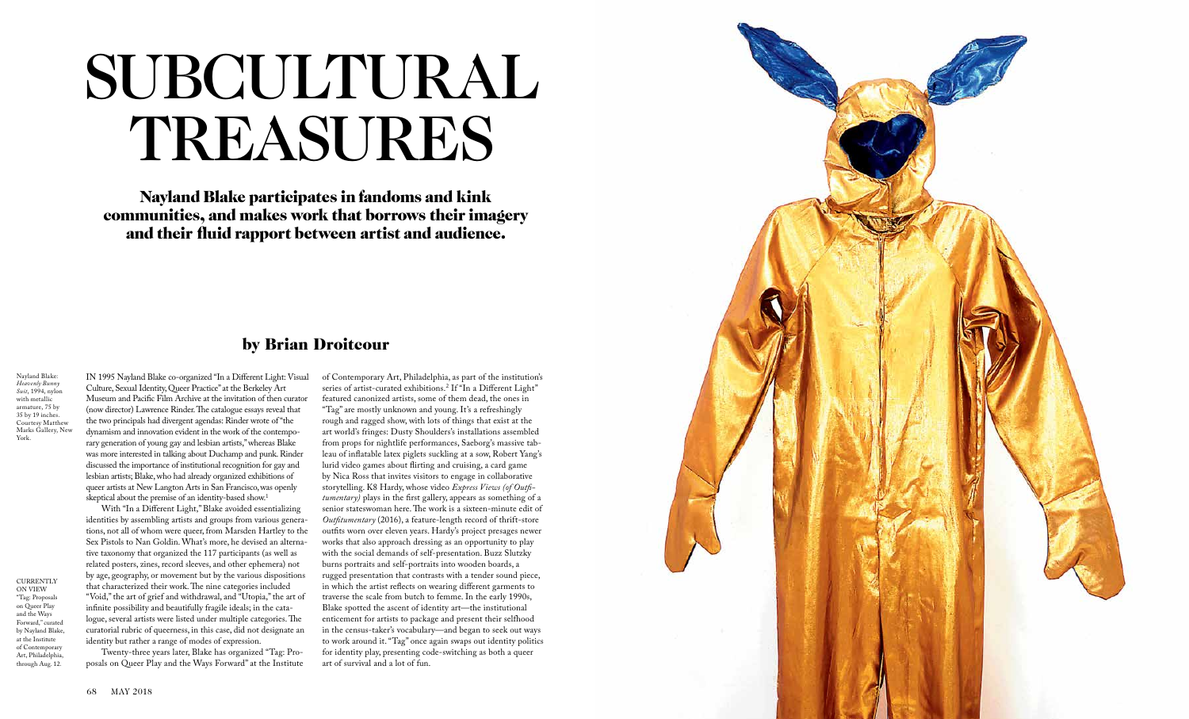

## by Brian Droitcour

## SUBCULTURAL TREASURES

Nayland Blake participates in fandoms and kink communities, and makes work that borrows their imagery and their fluid rapport between artist and audience.

**CURRENTLY** ON VIEW "Tag: Proposals on Queer Play and the Ways Forward," curated by Nayland Blake, at the Institute of Contemporary Art, Philadelphia, through Aug. 12.

Nayland Blake: *Heavenly Bunny Suit*, 1994, nylon with metallic armature, 75 by 35 by 19 inches. Courtesy Matthew Marks Gallery, New York.

IN 1995 Nayland Blake co-organized "In a Different Light: Visual Culture, Sexual Identity, Queer Practice" at the Berkeley Art Museum and Pacific Film Archive at the invitation of then curator (now director) Lawrence Rinder. The catalogue essays reveal that the two principals had divergent agendas: Rinder wrote of "the dynamism and innovation evident in the work of the contempo rary generation of young gay and lesbian artists," whereas Blake was more interested in talking about Duchamp and punk. Rinder discussed the importance of institutional recognition for gay and lesbian artists; Blake, who had already organized exhibitions of queer artists at New Langton Arts in San Francisco,was openly skeptical about the premise of an identity-based show. 1

With "In a Different Light," Blake avoided essentializing identities by assembling artists and groups from various genera tions, not all of whom were queer, from Marsden Hartley to the Sex Pistols to Nan Goldin. What's more, he devised an alterna tive taxonomy that organized the 117 participants (as well as related posters, zines, record sleeves, and other ephemera) not by age, geography, or movement but by the various dispositions that characterized their work. The nine categories included "Void," the art of grief and withdrawal, and "Utopia," the art of infinite possibility and beautifully fragile ideals; in the cata logue, several artists were listed under multiple categories. The curatorial rubric of queerness, in this case, did not designate an identity but rather a range of modes of expression.

Twenty-three years later, Blake has organized "Tag: Pro posals on Queer Play and the Ways Forward" at the Institute of Contemporary Art, Philadelphia, as part of the institution's series of artist-curated exhibitions. 2 If "In a Different Light" featured canonized artists, some of them dead, the ones in "Tag" are mostly unknown and young. It's a refreshingly rough and ragged show, with lots of things that exist at the art world's fringes: Dusty Shoulders's installations assembled from props for nightlife performances, Saeborg's massive tab leau of inflatable latex piglets suckling at a sow, Robert Yang's lurid video games about flirting and cruising, a card game by Nica Ross that invites visitors to engage in collaborative storytelling. K8 Hardy, whose video *Express Views (of Outfi tumentary)* plays in the first gallery, appears as something of a senior stateswoman here. The work is a sixteen-minute edit of *Outfitumentary* (2016), a feature-length record of thrift-store outfits worn over eleven years. Hardy's project presages newer works that also approach dressing as an opportunity to play with the social demands of self-presentation. Buzz Slutzky burns portraits and self-portraits into wooden boards, a rugged presentation that contrasts with a tender sound piece, in which the artist reflects on wearing different garments to traverse the scale from butch to femme. In the early 1990s, Blake spotted the ascent of identity art—the institutional enticement for artists to package and present their selfhood in the census-taker's vocabulary—and began to seek out ways to work around it. "Tag" once again swaps out identity politics for identity play, presenting code-switching as both a queer art of survival and a lot of fun.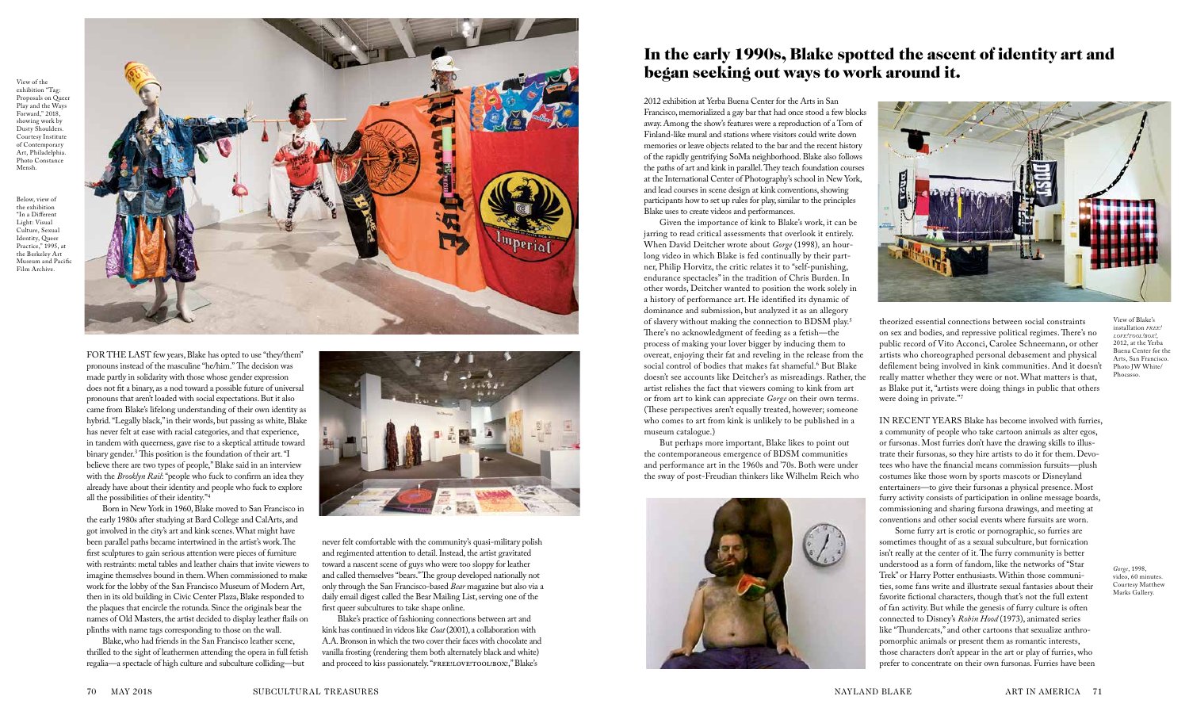

theorized essential connections between social constraints on sex and bodies, and repressive political regimes. There's no public record of Vito Acconci, Carolee Schneemann, or other artists who choreographed personal debasement and physical defilement being involved in kink communities. And it doesn't really matter whether they were or not. What matters is that, as Blake put it, "artists were doing things in public that others were doing in private."<sup>7</sup>

IN RECENT YEARS Blake has become involved with furries, a community of people who take cartoon animals as alter egos, or fursonas. Most furries don't have the drawing skills to illustrate their fursonas, so they hire artists to do it for them. Devotees who have the financial means commission fursuits—plush costumes like those worn by sports mascots or Disneyland entertainers—to give their fursonas a physical presence. Most furry activity consists of participation in online message boards, commissioning and sharing fursona drawings, and meeting at conventions and other social events where fursuits are worn.

Some furry art is erotic or pornographic, so furries are sometimes thought of as a sexual subculture, but fornication isn't really at the center of it. The furry community is better understood as a form of fandom, like the networks of "Star Trek" or Harry Potter enthusiasts. Within those communities, some fans write and illustrate sexual fantasies about their favorite fictional characters, though that's not the full extent of fan activity. But while the genesis of furry culture is often connected to Disney's *Robin Hood* (1973), animated series like "Thundercats," and other cartoons that sexualize anthropomorphic animals or present them as romantic interests, those characters don't appear in the art or play of furries, who prefer to concentrate on their own fursonas. Furries have been

Blake's practice of fashioning connections between art and kink has continued in videos like *Coat* (2001), a collaboration with A.A. Bronson in which the two cover their faces with chocolate and vanilla frosting (rendering them both alternately black and white) and proceed to kiss passionately. "FREE!LOVE!TOOL!BOX!," Blake's

2012 exhibition at Yerba Buena Center for the Arts in San Francisco, memorialized a gay bar that had once stood a few blocks away. Among the show's features were a reproduction of a Tom of Finland-like mural and stations where visitors could write down memories or leave objects related to the bar and the recent history of the rapidly gentrifying SoMa neighborhood. Blake also follows the paths of art and kink in parallel. They teach foundation courses at the International Center of Photography's school in New York, and lead courses in scene design at kink conventions, showing participants how to set up rules for play, similar to the principles Blake uses to create videos and performances.

Given the importance of kink to Blake's work, it can be jarring to read critical assessments that overlook it entirely. When David Deitcher wrote about *Gorge* (1998)*,* an hourlong video in which Blake is fed continually by their partner, Philip Horvitz, the critic relates it to "self-punishing, endurance spectacles" in the tradition of Chris Burden. In other words, Deitcher wanted to position the work solely in a history of performance art. He identified its dynamic of dominance and submission, but analyzed it as an allegory of slavery without making the connection to BDSM play.<sup>5</sup> There's no acknowledgment of feeding as a fetish—the process of making your lover bigger by inducing them to overeat, enjoying their fat and reveling in the release from the social control of bodies that makes fat shameful.<sup>6</sup> But Blake doesn't see accounts like Deitcher's as misreadings. Rather, the artist relishes the fact that viewers coming to kink from art or from art to kink can appreciate *Gorge* on their own terms. (These perspectives aren't equally treated, however; someone who comes to art from kink is unlikely to be published in a museum catalogue.)

But perhaps more important, Blake likes to point out the contemporaneous emergence of BDSM communities and performance art in the 1960s and '70s. Both were under the sway of post-Freudian thinkers like Wilhelm Reich who



never felt comfortable with the community's quasi-military polish and regimented attention to detail. Instead, the artist gravitated toward a nascent scene of guys who were too sloppy for leather and called themselves "bears." The group developed nationally not only through the San Francisco-based *Bear* magazine but also via a daily email digest called the Bear Mailing List, serving one of the first queer subcultures to take shape online.

FOR THE LAST few years, Blake has opted to use "they/them" pronouns instead of the masculine "he/him." The decision was made partly in solidarity with those whose gender expression does not fit a binary, as a nod toward a possible future of universal pronouns that aren't loaded with social expectations. But it also came from Blake's lifelong understanding of their own identity as hybrid. "Legally black," in their words, but passing as white, Blake has never felt at ease with racial categories, and that experience, in tandem with queerness, gave rise to a skeptical attitude toward binary gender.3 This position is the foundation of their art. "I believe there are two types of people," Blake said in an interview with the *Brooklyn Rail*: "people who fuck to confirm an idea they already have about their identity and people who fuck to explore all the possibilities of their identity."4

Born in New York in 1960, Blake moved to San Francisco in the early 1980s after studying at Bard College and CalArts, and got involved in the city's art and kink scenes. What might have been parallel paths became intertwined in the artist's work. The first sculptures to gain serious attention were pieces of furniture with restraints: metal tables and leather chairs that invite viewers to imagine themselves bound in them. When commissioned to make work for the lobby of the San Francisco Museum of Modern Art, then in its old building in Civic Center Plaza, Blake responded to the plaques that encircle the rotunda. Since the originals bear the names of Old Masters, the artist decided to display leather flails on plinths with name tags corresponding to those on the wall.

Blake, who had friends in the San Francisco leather scene, thrilled to the sight of leathermen attending the opera in full fetish regalia—a spectacle of high culture and subculture colliding—but



View of the exhibition "Tag: Proposals on Queer Play and the Ways Forward," 2018. showing work by Dusty Shoulders. Courtesy Institute of Contemporary Art, Philadelphia. Photo Constance Mensh.

Below, view of the exhibition "In a Different Light: Visual Culture, Sexual Identity, Queer Practice," 1995, at the Berkeley Art Museum and Pacific Film Archive.



View of Blake's installation *free! love!tool!box!*, 2012, at the Yerba Buena Center for the Arts, San Francisco. Photo JW White/ Phocasso.

## In the early 1990s, Blake spotted the ascent of identity art and began seeking out ways to work around it.

*Gorge*, 1998, video, 60 minutes. Courtesy Matthew Marks Gallery.